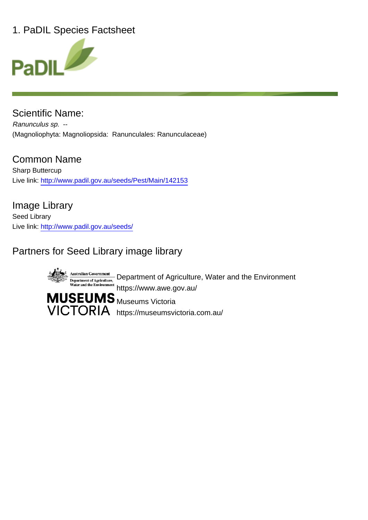# 1. PaDIL Species Factsheet



Scientific Name: Ranunculus sp. -- (Magnoliophyta: Magnoliopsida: Ranunculales: Ranunculaceae)

Common Name Sharp Buttercup Live link: http://www.padil.gov.au/seeds/Pest/Main/142153

Image Library Seed Library Live link: http://www.padil.gov.au/seeds/

# Partners for Seed Library image library



Department of Agriculture, Water and the Environment https://www.awe.gov.au/

VICTORIA https://museumsvictoria.com.au/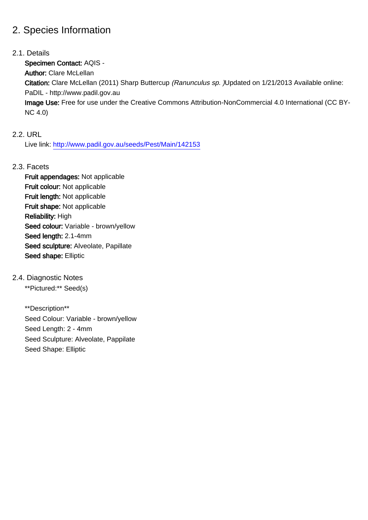### 2. Species Information

#### 2.1. Details

Specimen Contact: AQIS -

Author: Clare McLellan

Citation: Clare McLellan (2011) Sharp Buttercup (Ranunculus sp. )Updated on 1/21/2013 Available online: PaDIL - http://www.padil.gov.au

Image Use: Free for use under the Creative Commons Attribution-NonCommercial 4.0 International (CC BY-NC 4.0)

#### 2.2. URL

Live link: http://www.padil.gov.au/seeds/Pest/Main/142153

#### 2.3. Facets

Fruit appendages: Not applicable Fruit colour: Not applicable Fruit length: Not applicable Fruit shape: Not applicable Reliability: High Seed colour: Variable - brown/yellow Seed length: 2.1-4mm Seed sculpture: Alveolate, Papillate Seed shape: Elliptic

#### 2.4. Diagnostic Notes

\*\*Pictured:\*\* Seed(s)

\*\*Description\*\* Seed Colour: Variable - brown/yellow Seed Length: 2 - 4mm Seed Sculpture: Alveolate, Pappilate Seed Shape: Elliptic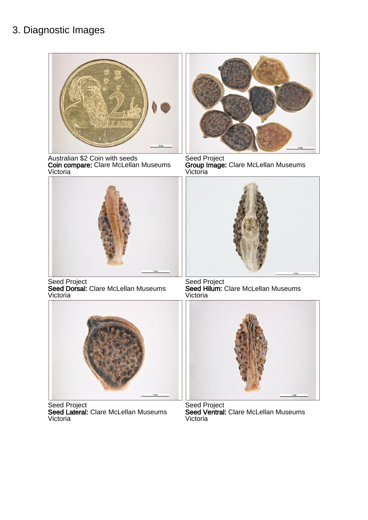### 3. Diagnostic Images



Australian \$2 Coin with seeds Coin compare: Clare McLellan Museums Victoria



Seed Project Seed Dorsal: Clare McLellan Museums Victoria



Seed Project Seed Lateral: Clare McLellan Museums Victoria



Seed Project Group Image: Clare McLellan Museums Victoria



Seed Project Seed Hilum: Clare McLellan Museums Victoria



Seed Project Seed Ventral: Clare McLellan Museums **Victoria**